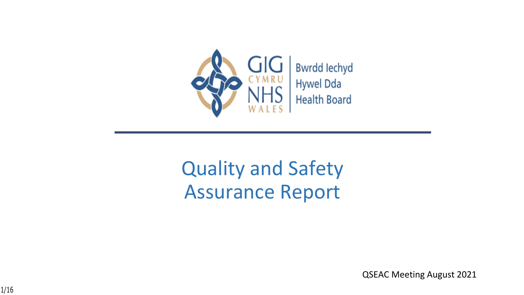

# Quality and Safety Assurance Report

QSEAC Meeting August 2021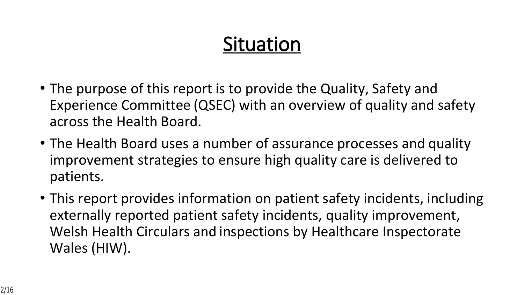# **Situation**

- The purpose of this report is to provide the Quality, Safety and Experience Committee (QSEC) with an overview of quality and safety across the Health Board.
- The Health Board uses a number of assurance processes and quality improvement strategies to ensure high quality care is delivered to patients.
- This report provides information on patient safety incidents, including externally reported patient safety incidents, quality improvement, Welsh Health Circulars and inspections by Healthcare Inspectorate Wales (HIW).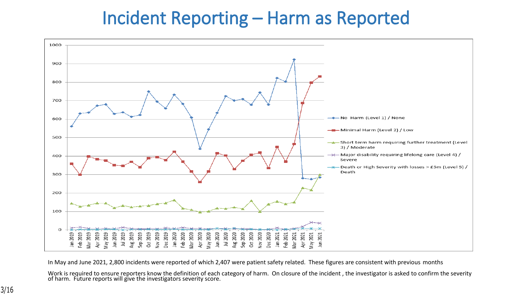## **Incident Reporting – Harm as Reported**



In May and June 2021, 2,800 incidents were reported of which 2,407 were patient safety related. These figures are consistent with previous months

Work is required to ensure reporters know the definition of each category of harm. On closure of the incident , the investigator is asked to confirm the severity of harm. Future reports will give the investigators severity score.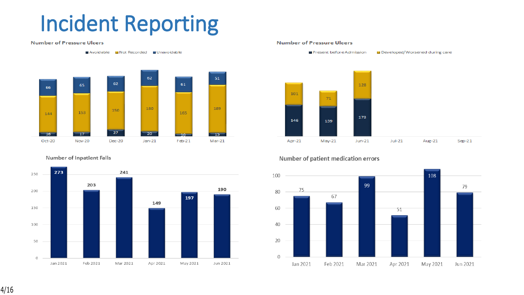# **Incident Reporting**

#### **Number of Pressure Ulcers**

Avoidable Mot Recorded MUnavoidable



Number of Inpatient Falls



#### **Number of Pressure Ulcers**



#### Number of patient medication errors



4/16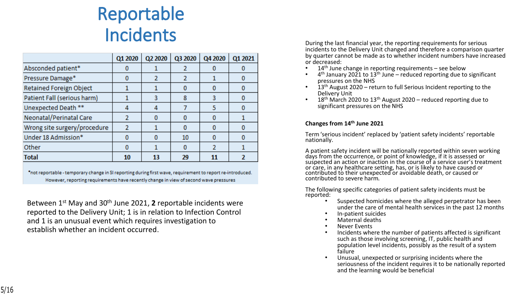## **Reportable Incidents**

|                              | Q1 2020 | Q2 2020 | Q3 2020 | Q4 2020 | Q1 2021 |
|------------------------------|---------|---------|---------|---------|---------|
| Absconded patient*           |         |         |         |         |         |
| Pressure Damage*             |         |         |         |         |         |
| Retained Foreign Object      |         |         |         | 0       | o       |
| Patient Fall (serious harm)  |         | 3       | 8       | 3       |         |
| Unexpected Death **          |         |         |         | 5       |         |
| Neonatal/Perinatal Care      | 2       | n       |         | 0       |         |
| Wrong site surgery/procedure | 2       |         |         | 0       |         |
| Under 18 Admission*          |         |         | 10      |         |         |
| Other                        |         |         |         | 2       |         |
| <b>Total</b>                 | 10      | 13      | 29      | 11      |         |

\*not reportable - temporary change in SI reporting during first wave, requirement to report re-introduced. However, reporting requirements have recently change in view of second wave pressures

Between 1st May and 30th June 2021, **2** reportable incidents were reported to the Delivery Unit; 1 is in relation to Infection Control and 1 is an unusual event which requires investigation to establish whether an incident occurred.

During the last financial year, the reporting requirements for serious incidents to the Delivery Unit changed and therefore a comparison quarter by quarter cannot be made as to whether incident numbers have increased or decreased:

- $14<sup>th</sup>$  June change in reporting requirements see below
- $\bullet$  4<sup>th</sup> January 2021 to 13<sup>th</sup> June reduced reporting due to significant pressures on the NHS
- 13<sup>th</sup> August 2020 return to full Serious Incident reporting to the Delivery Unit
- 18<sup>th</sup> March 2020 to 13<sup>th</sup> August 2020 reduced reporting due to significant pressures on the NHS

#### **Changes from 14th June 2021**

Term 'serious incident' replaced by 'patient safety incidents' reportable nationally.

A patient safety incident will be nationally reported within seven working days from the occurrence, or point of knowledge, if it is assessed or suspected an action or inaction in the course of a service user's treatment or care, in any healthcare setting, has, or is likely to have caused or contributed to their unexpected or avoidable death, or caused or contributed to severe harm.

The following specific categories of patient safety incidents must be reported:

- Suspected homicides where the alleged perpetrator has been under the care of mental health services in the past 12 months
- In-patient suicides
- Maternal deaths
- Never Events
- Incidents where the number of patients affected is significant such as those involving screening, IT, public health and population level incidents, possibly as the result of a system failure
- Unusual, unexpected or surprising incidents where the seriousness of the incident requires it to be nationally reported and the learning would be beneficial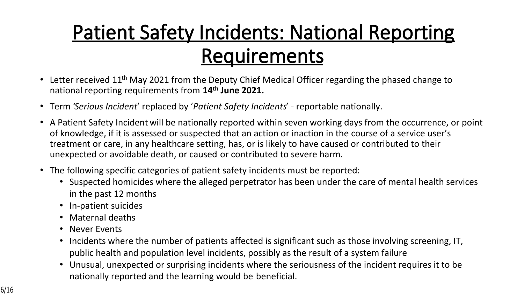# **Patient Safety Incidents: National Reporting Requirements**

- Letter received 11<sup>th</sup> May 2021 from the Deputy Chief Medical Officer regarding the phased change to national reporting requirements from **14th June 2021.**
- Term '*Serious Incident*' replaced by '*Patient Safety Incidents*' reportable nationally.
- A Patient Safety Incident will be nationally reported within seven working days from the occurrence, or point of knowledge, if it is assessed or suspected that an action or inaction in the course of a service user's treatment or care, in any healthcare setting, has, or is likely to have caused or contributed to their unexpected or avoidable death, or caused or contributed to severe harm.
- The following specific categories of patient safety incidents must be reported:
	- Suspected homicides where the alleged perpetrator has been under the care of mental health services in the past 12 months
	- In-patient suicides
	- Maternal deaths
	- Never Events
	- Incidents where the number of patients affected is significant such as those involving screening, IT, public health and population level incidents, possibly as the result of a system failure
	- Unusual, unexpected or surprising incidents where the seriousness of the incident requires it to be nationally reported and the learning would be beneficial.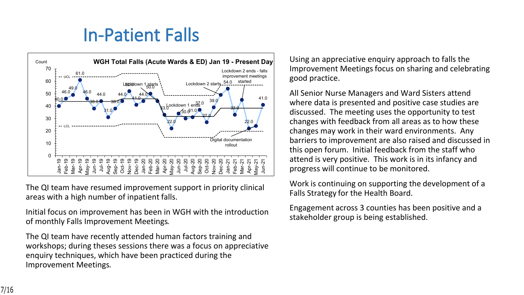## **In-Patient Falls**



The QI team have resumed improvement support in priority clinical areas with a high number of inpatient falls.

Initial focus on improvement has been in WGH with the introduction of monthly Falls Improvement Meetings.

The QI team have recently attended human factors training and workshops; during theses sessions there was a focus on appreciative enquiry techniques, which have been practiced during the Improvement Meetings.

Using an appreciative enquiry approach to falls the Improvement Meetings focus on sharing and celebrating good practice.

All Senior Nurse Managers and Ward Sisters attend where data is presented and positive case studies are discussed. The meeting uses the opportunity to test changes with feedback from all areas as to how these changes may work in their ward environments. Any barriers to improvement are also raised and discussed in this open forum. Initial feedback from the staff who attend is very positive. This work is in its infancy and progress will continue to be monitored.

Work is continuing on supporting the development of a Falls Strategy for the Health Board.

Engagement across 3 counties has been positive and a stakeholder group is being established.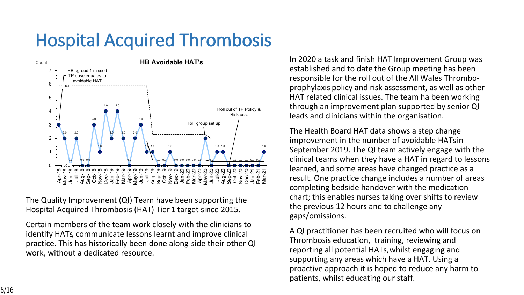# **Hospital Acquired Thrombosis**



The Quality Improvement (QI) Team have been supporting the Hospital Acquired Thrombosis (HAT) Tier 1 target since 2015.

Certain members of the team work closely with the clinicians to identify HATs, communicate lessons learnt and improve clinical practice. This has historically been done along-side their other QI work, without a dedicated resource.

In 2020 a task and finish HAT Improvement Group was established and to date the Group meeting has been responsible for the roll out of the All Wales Thromboprophylaxis policy and risk assessment, as well as other HAT related clinical issues. The team ha been working through an improvement plan supported by senior QI leads and clinicians within the organisation.

The Health Board HAT data shows a step change improvement in the number of avoidable HATs in September 2019. The QI team actively engage with the clinical teams when they have a HAT in regard to lessons learned, and some areas have changed practice as a result. One practice change includes a number of areas completing bedside handover with the medication chart; this enables nurses taking over shifts to review the previous 12 hours and to challenge any gaps/omissions.

A QI practitioner has been recruited who will focus on Thrombosis education, training, reviewing and reporting all potential HATs, whilst engaging and supporting any areas which have a HAT. Using a proactive approach it is hoped to reduce any harm to patients, whilst educating our staff.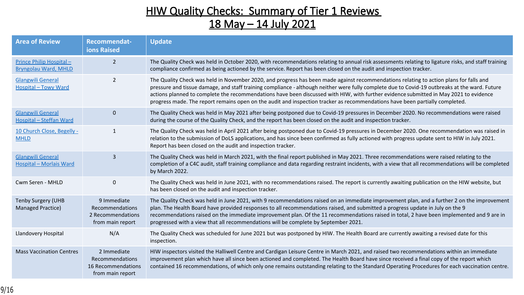| $\frac{88}{8}$<br>$.8 = 4$<br>$\geq$        |                                                                        |                                                        | 0 <sup>5</sup>                                                    | $1 \quad )$                                   | $\left  \cdot \right $ $\left  \cdot \right $ \$<br>) (                      |                                               | $\overline{0}$<br>$\mathbf{I}$                                                | 0(                                                   |                   |
|---------------------------------------------|------------------------------------------------------------------------|--------------------------------------------------------|-------------------------------------------------------------------|-----------------------------------------------|------------------------------------------------------------------------------|-----------------------------------------------|-------------------------------------------------------------------------------|------------------------------------------------------|-------------------|
| 8                                           |                                                                        |                                                        | 0 <sup>5</sup>                                                    | 9<br>$\left  \cdot \right $<br>$\pm 1$        | $\mathbf{L}$                                                                 | $<$ \$<br>$\boldsymbol{\$}$<br>$\overline{0}$ | $8 + * )$ \$<br>$\frac{1}{2}$                                                 | $\frac{1}{2}$<br>$\langle A \rangle$                 | $\overline{0}$    |
| $\mathsf{R}$                                |                                                                        |                                                        | 0 <sup>5</sup>                                                    | $\Omega$                                      |                                                                              | $\langle A \rangle$                           | $\vert$ ! )<br>$\overline{4}$                                                 | $\bar{\Pi}$<br>(9)                                   | $\overline{0}$    |
| $8 = 4$                                     | $\prec$                                                                |                                                        | 0 <sup>5</sup><br>$\left( \begin{array}{c} \end{array} \right)$ ! | $4 =$                                         | $\overline{0}$                                                               | $\langle A \rangle$                           | $\overline{4}$<br>$\left  \cdot \right $<br>$\left  \right $<br>$\mathcal{L}$ | $($ !!                                               | $\boldsymbol{\$}$ |
| $\mathcal{P}$<br>8 <sup>°</sup>             | $\mathbf{3}$                                                           |                                                        | 0 <sup>5</sup><br>$\sim$                                          | $\sqrt[6]{\frac{1}{2}}$                       |                                                                              | $\overline{ }$<br>$\rightarrow$               | $\pm$                                                                         | $\sqrt[6]{\frac{1}{2}}$<br>$\boldsymbol{\mathsf{S}}$ | $\sqrt[6]{2}$     |
| \$!<br>$< 8 = 4$                            |                                                                        |                                                        | $0 \quad$                                                         | $\mathcal{L}_{\mathcal{L}}$                   | $\mathbf{H}$<br>$\boldsymbol{\mathsf{S}}$<br>$\overline{0}$                  |                                               | $\, \, \raisebox{12pt}{$\scriptstyle\circ$}$                                  |                                                      |                   |
| $"$ 5 & $"$<br>$\rightarrow$<br>#<br>$\geq$ | $A + 1!$<br>$\boldsymbol{\Pi}$<br>$\frac{1}{2}$<br>$\mathbb{F}[\cdot]$ | $\boldsymbol{\alpha}$<br>$\pm$<br>$\frac{1}{2}$        | $0 \quad$<br>$\mathcal{A}$<br>$\boldsymbol{\mathsf{S}}$           | $\mathbf{r}$<br>$\boldsymbol{\Pi}$<br>$\pm 1$ | $\overline{A}$<br>$\frac{1}{2}$<br>$\pm$<br>(1)<br>$\boldsymbol{\mathsf{S}}$ | $\pm 1$<br>$\pm 1$<br>$\mathbf{I}$            | $\mathbf{1}$<br>$\left  \cdot \right $                                        | )!                                                   |                   |
| $\&$<br>$=$                                 | 9 B                                                                    |                                                        | $0$ \$                                                            | $\bar{z}$                                     | $\sqrt[6]{2}$                                                                | ) $8 + * ($                                   | $\&$                                                                          | $\mathbf{I}$                                         |                   |
| $\mathsf C$                                 | $+11$<br>$\pm$<br>$\mathsf D$<br>$\frac{1}{2}$<br>$\pm$                | & + $*$<br>$\mathbf{I}$<br>$\mathbf{I}$<br>$\mathsf D$ | $\mathfrak{L}$<br>$\begin{array}{c} \hline \end{array}$           | $\alpha$<br>$\sqrt{2}$<br>$\mathfrak{L}$      | $=$                                                                          |                                               | $\mathbf{I}$<br>$\&$                                                          | $\boldsymbol{\mathsf{S}}$<br>$\pmb{\mathsf{I}}$ !    | $\geq$            |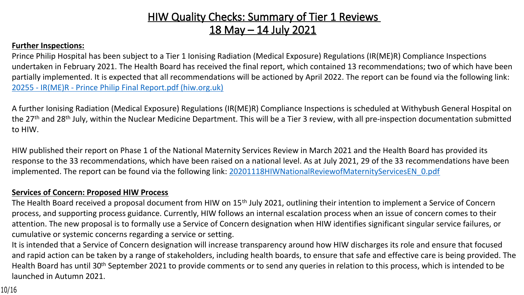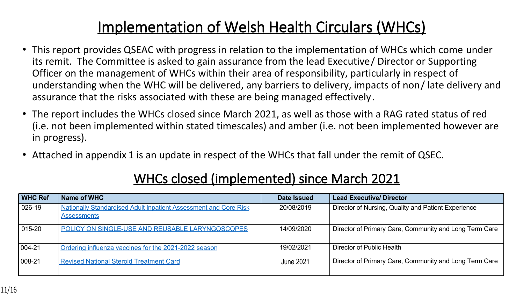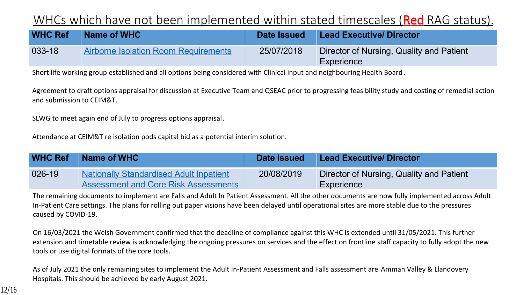| # \$ %  |                  | 8 % #       |                 |                             | $\star$                          | $+$       |                   |
|---------|------------------|-------------|-----------------|-----------------------------|----------------------------------|-----------|-------------------|
| #       |                  | $6^{\circ}$ | $+$ (5, (5, 3+) | $7 \t17$<br>$\sim$ , $\sim$ | $#$ +<br>$\star$ ((<br>$\ddotsc$ | $)+$ 8(9) | $+$ $($ $\& (2 +$ |
|         | $\updownarrow$ 0 |             |                 |                             | $\boldsymbol{\mathcal{L}}$       |           | &                 |
|         |                  | $+$ G       |                 |                             |                                  |           |                   |
| $=$ * ? |                  |             |                 |                             |                                  |           |                   |
|         | + G              |             |                 |                             |                                  |           |                   |

| # \$ % &    | $\%$<br>#                                                                             |                | $\star$                                         |                          |         |
|-------------|---------------------------------------------------------------------------------------|----------------|-------------------------------------------------|--------------------------|---------|
|             | $\alpha$<br>$8 +$<br>8 <sup>o</sup><br>$\alpha$ (<br>$(5 + )%$<br>8 <sub>1</sub>      | $7 + 7$<br>(6) | $\mathcal{N}^*$<br>$\pm$<br>$\therefore$<br>$+$ | $) + 8(9)$<br>$+$ (      | $8(2 +$ |
| $+ <$       | 2<br>$1C + 4 < A$                                                                     | $+$ >          |                                                 |                          |         |
| DB 3B<br>1. | $\star$<br>$\ddot{\phantom{0}}$<br>$\boldsymbol{\mathsf{\$}}$<br>$\overline{0}$<br>\$ |                |                                                 | $*$ &                    |         |
| α           |                                                                                       | $+ <$          |                                                 | $\frac{1}{2}$ C<br>$G =$ |         |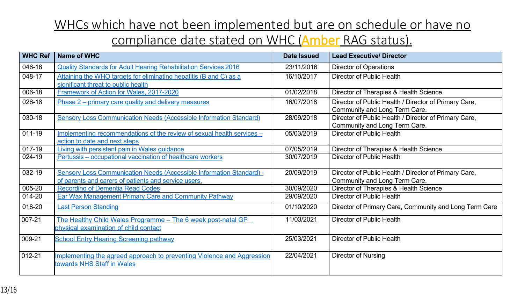| $\#$ \$ % & ' | %<br>#                                                                                                                                                                                                                     |     |                |                    |             | $\star$<br>$+$                                                                                       |
|---------------|----------------------------------------------------------------------------------------------------------------------------------------------------------------------------------------------------------------------------|-----|----------------|--------------------|-------------|------------------------------------------------------------------------------------------------------|
|               | $88)$ (*<br>$+ (5 ? + + ( )$<br>$\sqrt{8}$<br>$9 +$                                                                                                                                                                        | $+$ | $\sqrt{7}$ 7   |                    | $+$         | $*$ (<br>$+$ )                                                                                       |
| $#$ !         | $+$ , + + (? + +)(Ap( & 7. B7 )(!)<br>$\bm{\varpi}$<br>2<br>$+ +$<br>$\frac{1}{2}$<br>(2)<br>$+ * + * +$<br>$? +$                                                                                                          |     |                |                    | $+$         | $\ddot{?}$<br>$*(2)$<br>$+$ (/                                                                       |
| #             | $\frac{1}{100}$ $\frac{9}{6}$ $\left( \frac{1}{2}$<br>$\left( 8\right)$<br>$+$ $($ $*$                                                                                                                                     |     |                | 7 7<br>#           | $+$         | $*(1 ? + ) (4)$<br>$?() +$                                                                           |
| #             | $8(8 +$<br>(3)<br>$(2?)$ $(C + ,$<br>$+$ (<br>$\left( \cdot, \cdot \right)$                                                                                                                                                |     |                | 7 ! 7 #   +        | $\cdot$ ,,, | *((2 + (/ ?)(7( + (*(2 +, )<br>$+$ $( 8 (5 ) 1 , ( 1 )$                                              |
| #             | $(\text{\$}))(\dots$ , + + $(\text{\$})(A) )$ + $(6 \text{\text{*}} \dots$ + $($                                                                                                                                           |     |                |                    |             | #87 &7B #   + $*(2 + (7 + 7)$ + $(*2 + 7)$<br>$\cdot$ , , + ( & (\$ (1 , (. "                        |
|               | $+$ $+$ $($ $*$ $($ $)$ $($ ?<br>$\& +$<br>$*(?$<br>6.<br>8(<br>(8)<br>$+$                                                                                                                                                 |     |                | $?() 7 + 7)(C(+)$  |             | *((2 + (/ ?)                                                                                         |
|               | $+8$<br>$(' + ? ()$<br>$(+)$<br>$+$ $(+$ $@$<br>$S++$                                                                                                                                                                      |     | $\frac{17}{7}$ |                    | $+$         | $*(1 ? + ) (4)$<br>$?() +$                                                                           |
|               | $\left( \frac{*}{2} \right)$<br>$?$ ('%)<br>$(2)$ $)+$ $(C)$<br>$+$<br>$+$<br>$+$ $-$                                                                                                                                      |     | $\sqrt{7}$ 17  |                    | $+$         | * (2 + (/<br>$\ddot{?}$                                                                              |
|               | $(6 \times 1)$<br>(S)<br>$\&$ ) (A<br>$)$ ) +<br>(8()<br>8(<br>$+$<br>$+$                                                                                                                                                  |     |                |                    |             | <b>&amp;</b> &B( $\begin{pmatrix} 1 & + & *(2 & +1) \\ -1 & 2 & +1 \end{pmatrix}$ / 7(7) + (*(2+, 1) |
|               | $+ (5 \& . \& )$<br>5 <sup>5</sup><br>$8 +$<br>$\star$ ( $\sim$ $\sim$                                                                                                                                                     |     |                | 7 <sub>7</sub>     | $+$         | $?() +$<br>$*(1 ? + ) (4)$                                                                           |
|               | $(2 +, 1 + \frac{1}{2})$ $8(1, 1 + \frac{1}{2})$<br>@: (                                                                                                                                                                   |     |                | 7 <sub>7</sub>     | $+$         | *((2 + (/ ?                                                                                          |
| #             | $8 +$<br>$\mathbb{S}$ )<br>(2)                                                                                                                                                                                             |     |                | 7 <sub>7</sub>     | $+$         | $(* (2 +, 4)$<br>(1)<br>$8( . , , + ( & 8($                                                          |
| $($ !         | $?(.? + 8(@))(2$ , $ C(1?  )'$ %<br>(1 ? (1)<br>$($ ; + + $($ * $($ ? + & $($<br>$?$ ) +                                                                                                                                   |     |                | $7 (= 72)$ ( ( ( ( | $+$         | $(* (2 + ()$<br>$\ddot{?}$                                                                           |
|               | $\gamma$<br>$+$ ( ? (<br>$($ :<br>$\left( \right)$<br>$+$ (                                                                                                                                                                |     | 7 7            |                    | $+$         | $\ddot{?}$<br>$(* (2 + ()$                                                                           |
|               | $? ($ $($ + $($ D +<br>2 <sup>0</sup><br>& (<br>6.<br>$+$<br>$\frac{1}{2}$ ( $\frac{1}{2}$ ( $\frac{1}{2}$ ( $\frac{1}{2}$ + $\frac{1}{2}$ ( $\frac{1}{2}$ + $\frac{1}{2}$ ( $\frac{1}{2}$ + $\frac{1}{2}$ ( $\frac{1}{2}$ |     |                | $(877) + 6$        |             | $(*$ $(+)$ +                                                                                         |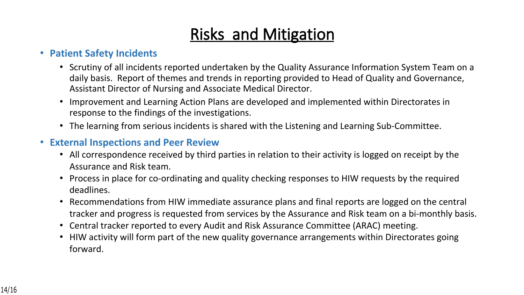### **Risks and Mitigation**

### • **Patient Safety Incidents**

- Scrutiny of all incidents reported undertaken by the Quality Assurance Information System Team on a daily basis. Report of themes and trends in reporting provided to Head of Quality and Governance, Assistant Director of Nursing and Associate Medical Director.
- Improvement and Learning Action Plans are developed and implemented within Directorates in response to the findings of the investigations.
- The learning from serious incidents is shared with the Listening and Learning Sub-Committee.

### • **External Inspections and Peer Review**

- All correspondence received by third parties in relation to their activity is logged on receipt by the Assurance and Risk team.
- Process in place for co-ordinating and quality checking responses to HIW requests by the required deadlines.
- Recommendations from HIW immediate assurance plans and final reports are logged on the central tracker and progress is requested from services by the Assurance and Risk team on a bi-monthly basis.
- Central tracker reported to every Audit and Risk Assurance Committee (ARAC) meeting.
- HIW activity will form part of the new quality governance arrangements within Directorates going forward.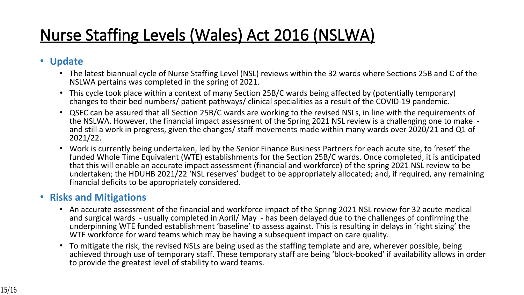## **Nurse Staffing Levels (Wales) Act 2016 (NSLWA)**

### • **Update**

- The latest biannual cycle of Nurse Staffing Level (NSL) reviews within the 32 wards where Sections 25B and C of the NSLWA pertains was completed in the spring of 2021.
- This cycle took place within a context of many Section 25B/C wards being affected by (potentially temporary) changes to their bed numbers/ patient pathways/ clinical specialities as a result of the COVID-19 pandemic.
- QSEC can be assured that all Section 25B/C wards are working to the revised NSLs, in line with the requirements of the NSLWA. However, the financial impact assessment of the Spring 2021 NSL review is a challenging one to make and still a work in progress, given the changes/ staff movements made within many wards over 2020/21 and Q1 of 2021/22.
- Work is currently being undertaken, led by the Senior Finance Business Partners for each acute site, to 'reset' the funded Whole Time Equivalent (WTE) establishments for the Section 25B/C wards. Once completed, it is anticipated that this will enable an accurate impact assessment (financial and workforce) of the spring 2021 NSL review to be undertaken; the HDUHB 2021/22 'NSL reserves' budget to be appropriately allocated; and, if required, any remaining financial deficits to be appropriately considered.

#### • **Risks and Mitigations**

- An accurate assessment of the financial and workforce impact of the Spring 2021 NSL review for 32 acute medical and surgical wards - usually completed in April/ May - has been delayed due to the challenges of confirming the underpinning WTE funded establishment 'baseline' to assess against. This is resulting in delays in 'right sizing' the WTE workforce for ward teams which may be having a subsequent impact on care quality.
- To mitigate the risk, the revised NSLs are being used as the staffing template and are, wherever possible, being achieved through use of temporary staff. These temporary staff are being 'block-booked' if availability allows in order to provide the greatest level of stability to ward teams.